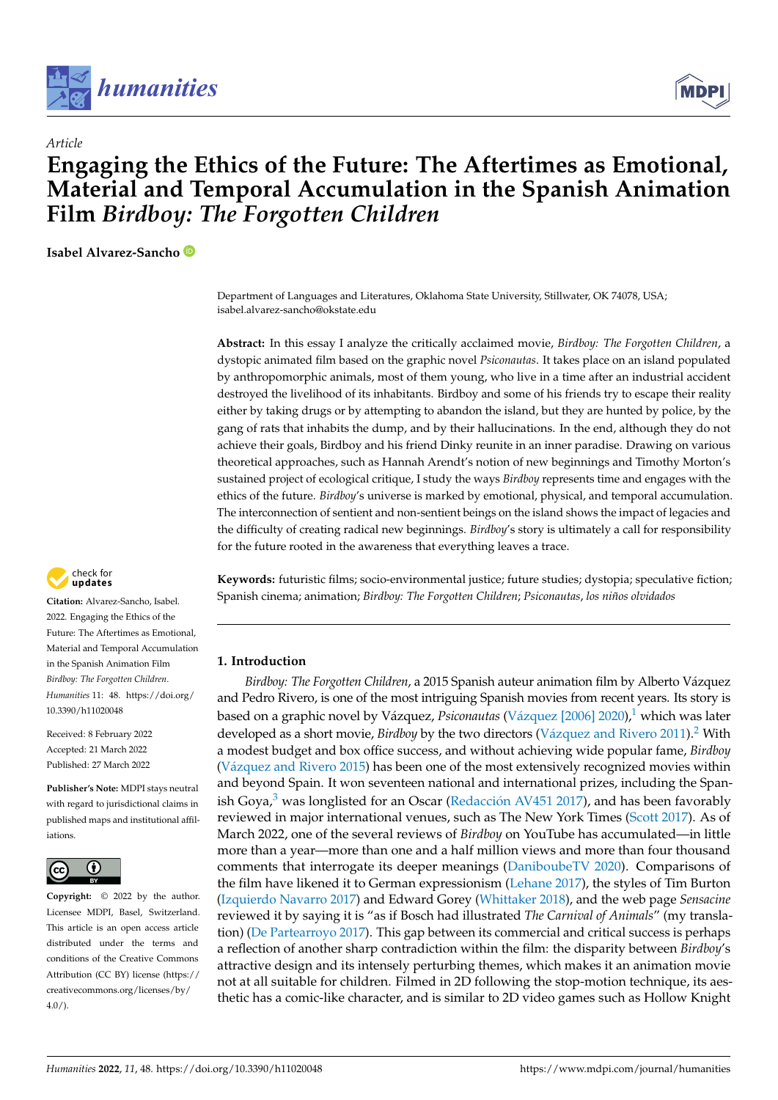

*Article*



# **Engaging the Ethics of the Future: The Aftertimes as Emotional, Material and Temporal Accumulation in the Spanish Animation Film** *Birdboy: The Forgotten Children*

**Isabel Alvarez-Sancho**

Department of Languages and Literatures, Oklahoma State University, Stillwater, OK 74078, USA; isabel.alvarez-sancho@okstate.edu

**Abstract:** In this essay I analyze the critically acclaimed movie, *Birdboy: The Forgotten Children*, a dystopic animated film based on the graphic novel *Psiconautas*. It takes place on an island populated by anthropomorphic animals, most of them young, who live in a time after an industrial accident destroyed the livelihood of its inhabitants. Birdboy and some of his friends try to escape their reality either by taking drugs or by attempting to abandon the island, but they are hunted by police, by the gang of rats that inhabits the dump, and by their hallucinations. In the end, although they do not achieve their goals, Birdboy and his friend Dinky reunite in an inner paradise. Drawing on various theoretical approaches, such as Hannah Arendt's notion of new beginnings and Timothy Morton's sustained project of ecological critique, I study the ways *Birdboy* represents time and engages with the ethics of the future. *Birdboy*'s universe is marked by emotional, physical, and temporal accumulation. The interconnection of sentient and non-sentient beings on the island shows the impact of legacies and the difficulty of creating radical new beginnings. *Birdboy*'s story is ultimately a call for responsibility for the future rooted in the awareness that everything leaves a trace.



**Citation:** Alvarez-Sancho, Isabel. 2022. Engaging the Ethics of the Future: The Aftertimes as Emotional, Material and Temporal Accumulation in the Spanish Animation Film *Birdboy: The Forgotten Children*. *Humanities* 11: 48. [https://doi.org/](https://doi.org/10.3390/h11020048) [10.3390/h11020048](https://doi.org/10.3390/h11020048)

Received: 8 February 2022 Accepted: 21 March 2022 Published: 27 March 2022

**Publisher's Note:** MDPI stays neutral with regard to jurisdictional claims in published maps and institutional affiliations.



**Copyright:** © 2022 by the author. Licensee MDPI, Basel, Switzerland. This article is an open access article distributed under the terms and conditions of the Creative Commons Attribution (CC BY) license [\(https://](https://creativecommons.org/licenses/by/4.0/) [creativecommons.org/licenses/by/](https://creativecommons.org/licenses/by/4.0/)  $4.0/$ ).

**Keywords:** futuristic films; socio-environmental justice; future studies; dystopia; speculative fiction; Spanish cinema; animation; *Birdboy: The Forgotten Children*; *Psiconautas*, *los niños olvidados*

## **1. Introduction**

<span id="page-0-2"></span><span id="page-0-1"></span><span id="page-0-0"></span>*Birdboy: The Forgotten Children*, a 2015 Spanish auteur animation film by Alberto Vázquez and Pedro Rivero, is one of the most intriguing Spanish movies from recent years. Its story is based on a graphic novel by Vázquez, *Psiconautas* (Vá[zquez \[2006\]](#page-14-0) [2020\)](#page-14-0),<sup>[1](#page-12-0)</sup> which was later developed as a short movie, *Birdboy* by the two directors (Vá[zquez and Rivero](#page-14-1) [2011\)](#page-14-1).[2](#page-12-1) With a modest budget and box office success, and without achieving wide popular fame, *Birdboy* (Vá[zquez and Rivero](#page-14-2) [2015\)](#page-14-2) has been one of the most extensively recognized movies within and beyond Spain. It won seventeen national and international prizes, including the Spanish Goya, $3$  was longlisted for an Oscar (Redacció[n AV451](#page-14-3) [2017\)](#page-14-3), and has been favorably reviewed in major international venues, such as The New York Times [\(Scott](#page-14-4) [2017\)](#page-14-4). As of March 2022, one of the several reviews of *Birdboy* on YouTube has accumulated—in little more than a year—more than one and a half million views and more than four thousand comments that interrogate its deeper meanings [\(DaniboubeTV](#page-13-1) [2020\)](#page-13-1). Comparisons of the film have likened it to German expressionism [\(Lehane](#page-14-5) [2017\)](#page-14-5), the styles of Tim Burton [\(Izquierdo Navarro](#page-13-2) [2017\)](#page-13-2) and Edward Gorey [\(Whittaker](#page-14-6) [2018\)](#page-14-6), and the web page *Sensacine* reviewed it by saying it is "as if Bosch had illustrated *The Carnival of Animals*" (my translation) [\(De Partearroyo](#page-13-3) [2017\)](#page-13-3). This gap between its commercial and critical success is perhaps a reflection of another sharp contradiction within the film: the disparity between *Birdboy*'s attractive design and its intensely perturbing themes, which makes it an animation movie not at all suitable for children. Filmed in 2D following the stop-motion technique, its aesthetic has a comic-like character, and is similar to 2D video games such as Hollow Knight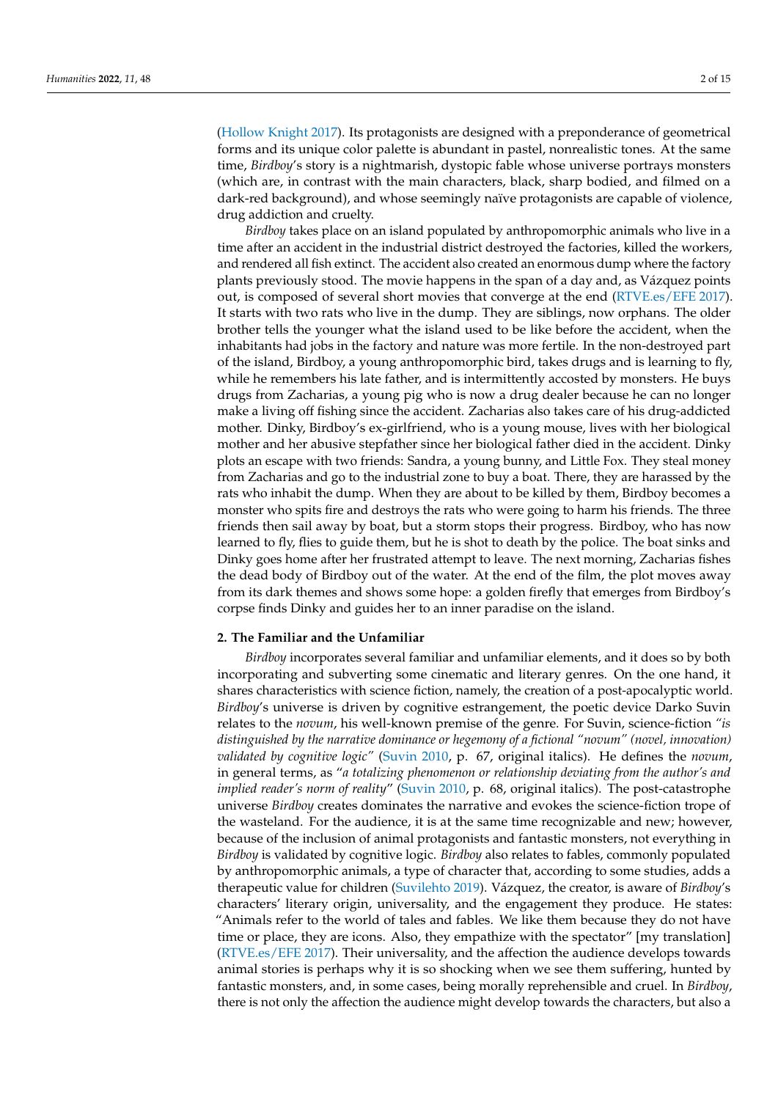[\(Hollow Knight](#page-13-4) [2017\)](#page-13-4). Its protagonists are designed with a preponderance of geometrical forms and its unique color palette is abundant in pastel, nonrealistic tones. At the same time, *Birdboy*'s story is a nightmarish, dystopic fable whose universe portrays monsters (which are, in contrast with the main characters, black, sharp bodied, and filmed on a dark-red background), and whose seemingly naïve protagonists are capable of violence, drug addiction and cruelty.

*Birdboy* takes place on an island populated by anthropomorphic animals who live in a time after an accident in the industrial district destroyed the factories, killed the workers, and rendered all fish extinct. The accident also created an enormous dump where the factory plants previously stood. The movie happens in the span of a day and, as Vázquez points out, is composed of several short movies that converge at the end [\(RTVE.es/EFE](#page-14-7) [2017\)](#page-14-7). It starts with two rats who live in the dump. They are siblings, now orphans. The older brother tells the younger what the island used to be like before the accident, when the inhabitants had jobs in the factory and nature was more fertile. In the non-destroyed part of the island, Birdboy, a young anthropomorphic bird, takes drugs and is learning to fly, while he remembers his late father, and is intermittently accosted by monsters. He buys drugs from Zacharias, a young pig who is now a drug dealer because he can no longer make a living off fishing since the accident. Zacharias also takes care of his drug-addicted mother. Dinky, Birdboy's ex-girlfriend, who is a young mouse, lives with her biological mother and her abusive stepfather since her biological father died in the accident. Dinky plots an escape with two friends: Sandra, a young bunny, and Little Fox. They steal money from Zacharias and go to the industrial zone to buy a boat. There, they are harassed by the rats who inhabit the dump. When they are about to be killed by them, Birdboy becomes a monster who spits fire and destroys the rats who were going to harm his friends. The three friends then sail away by boat, but a storm stops their progress. Birdboy, who has now learned to fly, flies to guide them, but he is shot to death by the police. The boat sinks and Dinky goes home after her frustrated attempt to leave. The next morning, Zacharias fishes the dead body of Birdboy out of the water. At the end of the film, the plot moves away from its dark themes and shows some hope: a golden firefly that emerges from Birdboy's corpse finds Dinky and guides her to an inner paradise on the island.

#### **2. The Familiar and the Unfamiliar**

*Birdboy* incorporates several familiar and unfamiliar elements, and it does so by both incorporating and subverting some cinematic and literary genres. On the one hand, it shares characteristics with science fiction, namely, the creation of a post-apocalyptic world. *Birdboy*'s universe is driven by cognitive estrangement, the poetic device Darko Suvin relates to the *novum*, his well-known premise of the genre. For Suvin, science-fiction *"is distinguished by the narrative dominance or hegemony of a fictional "novum" (novel, innovation) validated by cognitive logic"* [\(Suvin](#page-14-8) [2010,](#page-14-8) p. 67, original italics). He defines the *novum*, in general terms, as "*a totalizing phenomenon or relationship deviating from the author's and implied reader's norm of reality*" [\(Suvin](#page-14-8) [2010,](#page-14-8) p. 68, original italics). The post-catastrophe universe *Birdboy* creates dominates the narrative and evokes the science-fiction trope of the wasteland. For the audience, it is at the same time recognizable and new; however, because of the inclusion of animal protagonists and fantastic monsters, not everything in *Birdboy* is validated by cognitive logic. *Birdboy* also relates to fables, commonly populated by anthropomorphic animals, a type of character that, according to some studies, adds a therapeutic value for children [\(Suvilehto](#page-14-9) [2019\)](#page-14-9). Vázquez, the creator, is aware of *Birdboy*'s characters' literary origin, universality, and the engagement they produce. He states: "Animals refer to the world of tales and fables. We like them because they do not have time or place, they are icons. Also, they empathize with the spectator" [my translation] [\(RTVE.es/EFE](#page-14-7) [2017\)](#page-14-7). Their universality, and the affection the audience develops towards animal stories is perhaps why it is so shocking when we see them suffering, hunted by fantastic monsters, and, in some cases, being morally reprehensible and cruel. In *Birdboy*, there is not only the affection the audience might develop towards the characters, but also a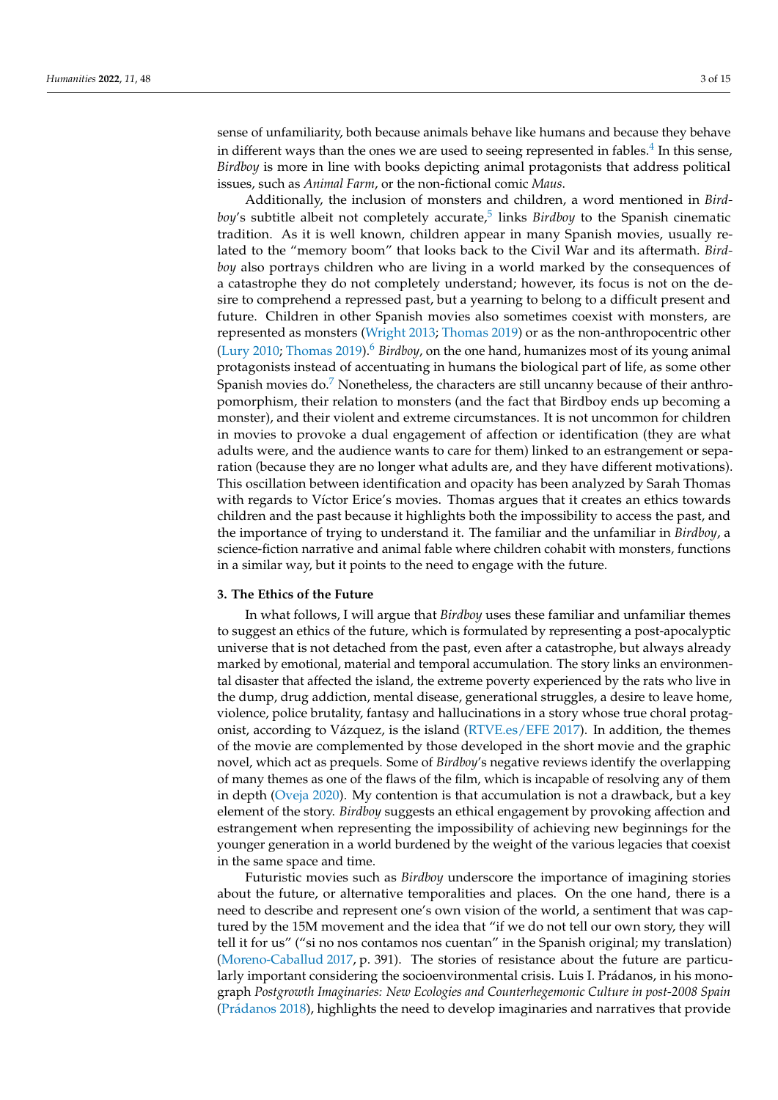<span id="page-2-0"></span>sense of unfamiliarity, both because animals behave like humans and because they behave in different ways than the ones we are used to seeing represented in fables. $^4$  $^4$  In this sense, *Birdboy* is more in line with books depicting animal protagonists that address political issues, such as *Animal Farm*, or the non-fictional comic *Maus*.

<span id="page-2-3"></span><span id="page-2-2"></span><span id="page-2-1"></span>Additionally, the inclusion of monsters and children, a word mentioned in *Bird-*boy's subtitle albeit not completely accurate,<sup>[5](#page-13-6)</sup> links *Birdboy* to the Spanish cinematic tradition. As it is well known, children appear in many Spanish movies, usually related to the "memory boom" that looks back to the Civil War and its aftermath. *Birdboy* also portrays children who are living in a world marked by the consequences of a catastrophe they do not completely understand; however, its focus is not on the desire to comprehend a repressed past, but a yearning to belong to a difficult present and future. Children in other Spanish movies also sometimes coexist with monsters, are represented as monsters [\(Wright](#page-14-10) [2013;](#page-14-10) [Thomas](#page-14-11) [2019\)](#page-14-11) or as the non-anthropocentric other [\(Lury](#page-14-12) [2010;](#page-14-12) [Thomas](#page-14-11) [2019\)](#page-14-11). [6](#page-13-7) *Birdboy*, on the one hand, humanizes most of its young animal protagonists instead of accentuating in humans the biological part of life, as some other Spanish movies do. $\frac{7}{2}$  $\frac{7}{2}$  $\frac{7}{2}$  Nonetheless, the characters are still uncanny because of their anthropomorphism, their relation to monsters (and the fact that Birdboy ends up becoming a monster), and their violent and extreme circumstances. It is not uncommon for children in movies to provoke a dual engagement of affection or identification (they are what adults were, and the audience wants to care for them) linked to an estrangement or separation (because they are no longer what adults are, and they have different motivations). This oscillation between identification and opacity has been analyzed by Sarah Thomas with regards to Víctor Erice's movies. Thomas argues that it creates an ethics towards children and the past because it highlights both the impossibility to access the past, and the importance of trying to understand it. The familiar and the unfamiliar in *Birdboy*, a science-fiction narrative and animal fable where children cohabit with monsters, functions in a similar way, but it points to the need to engage with the future.

## **3. The Ethics of the Future**

In what follows, I will argue that *Birdboy* uses these familiar and unfamiliar themes to suggest an ethics of the future, which is formulated by representing a post-apocalyptic universe that is not detached from the past, even after a catastrophe, but always already marked by emotional, material and temporal accumulation. The story links an environmental disaster that affected the island, the extreme poverty experienced by the rats who live in the dump, drug addiction, mental disease, generational struggles, a desire to leave home, violence, police brutality, fantasy and hallucinations in a story whose true choral protagonist, according to Vázquez, is the island [\(RTVE.es/EFE](#page-14-7) [2017\)](#page-14-7). In addition, the themes of the movie are complemented by those developed in the short movie and the graphic novel, which act as prequels. Some of *Birdboy*'s negative reviews identify the overlapping of many themes as one of the flaws of the film, which is incapable of resolving any of them in depth [\(Oveja](#page-14-13) [2020\)](#page-14-13). My contention is that accumulation is not a drawback, but a key element of the story. *Birdboy* suggests an ethical engagement by provoking affection and estrangement when representing the impossibility of achieving new beginnings for the younger generation in a world burdened by the weight of the various legacies that coexist in the same space and time.

Futuristic movies such as *Birdboy* underscore the importance of imagining stories about the future, or alternative temporalities and places. On the one hand, there is a need to describe and represent one's own vision of the world, a sentiment that was captured by the 15M movement and the idea that "if we do not tell our own story, they will tell it for us" ("si no nos contamos nos cuentan" in the Spanish original; my translation) [\(Moreno-Caballud](#page-14-14) [2017,](#page-14-14) p. 391). The stories of resistance about the future are particularly important considering the socioenvironmental crisis. Luis I. Prádanos, in his monograph *Postgrowth Imaginaries: New Ecologies and Counterhegemonic Culture in post-2008 Spain* (Prá[danos](#page-14-15) [2018\)](#page-14-15), highlights the need to develop imaginaries and narratives that provide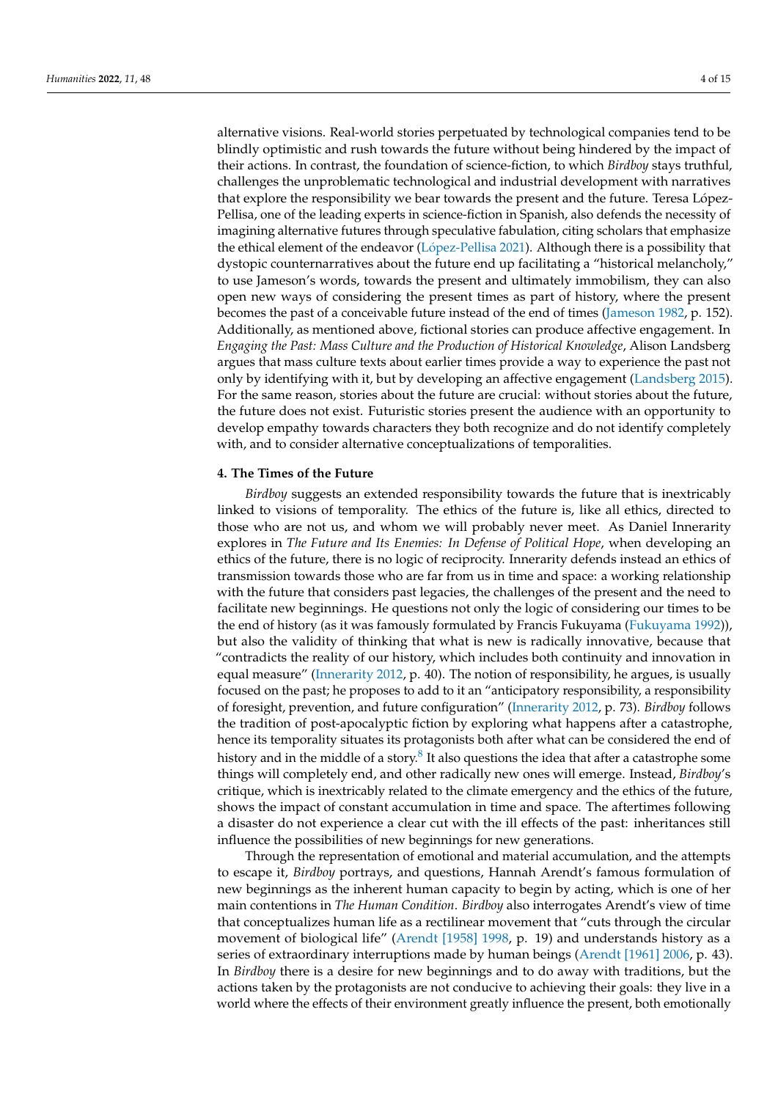alternative visions. Real-world stories perpetuated by technological companies tend to be blindly optimistic and rush towards the future without being hindered by the impact of their actions. In contrast, the foundation of science-fiction, to which *Birdboy* stays truthful, challenges the unproblematic technological and industrial development with narratives that explore the responsibility we bear towards the present and the future. Teresa López-Pellisa, one of the leading experts in science-fiction in Spanish, also defends the necessity of imagining alternative futures through speculative fabulation, citing scholars that emphasize the ethical element of the endeavor (Ló[pez-Pellisa](#page-14-16) [2021\)](#page-14-16). Although there is a possibility that dystopic counternarratives about the future end up facilitating a "historical melancholy," to use Jameson's words, towards the present and ultimately immobilism, they can also open new ways of considering the present times as part of history, where the present becomes the past of a conceivable future instead of the end of times [\(Jameson](#page-13-9) [1982,](#page-13-9) p. 152). Additionally, as mentioned above, fictional stories can produce affective engagement. In *Engaging the Past: Mass Culture and the Production of Historical Knowledge*, Alison Landsberg argues that mass culture texts about earlier times provide a way to experience the past not only by identifying with it, but by developing an affective engagement [\(Landsberg](#page-14-17) [2015\)](#page-14-17). For the same reason, stories about the future are crucial: without stories about the future, the future does not exist. Futuristic stories present the audience with an opportunity to develop empathy towards characters they both recognize and do not identify completely with, and to consider alternative conceptualizations of temporalities.

#### **4. The Times of the Future**

*Birdboy* suggests an extended responsibility towards the future that is inextricably linked to visions of temporality. The ethics of the future is, like all ethics, directed to those who are not us, and whom we will probably never meet. As Daniel Innerarity explores in *The Future and Its Enemies: In Defense of Political Hope*, when developing an ethics of the future, there is no logic of reciprocity. Innerarity defends instead an ethics of transmission towards those who are far from us in time and space: a working relationship with the future that considers past legacies, the challenges of the present and the need to facilitate new beginnings. He questions not only the logic of considering our times to be the end of history (as it was famously formulated by Francis Fukuyama [\(Fukuyama](#page-13-10) [1992\)](#page-13-10)), but also the validity of thinking that what is new is radically innovative, because that "contradicts the reality of our history, which includes both continuity and innovation in equal measure" [\(Innerarity](#page-13-11) [2012,](#page-13-11) p. 40). The notion of responsibility, he argues, is usually focused on the past; he proposes to add to it an "anticipatory responsibility, a responsibility of foresight, prevention, and future configuration" [\(Innerarity](#page-13-11) [2012,](#page-13-11) p. 73). *Birdboy* follows the tradition of post-apocalyptic fiction by exploring what happens after a catastrophe, hence its temporality situates its protagonists both after what can be considered the end of history and in the middle of a story. $^8$  $^8$  It also questions the idea that after a catastrophe some things will completely end, and other radically new ones will emerge. Instead, *Birdboy*'s critique, which is inextricably related to the climate emergency and the ethics of the future, shows the impact of constant accumulation in time and space. The aftertimes following a disaster do not experience a clear cut with the ill effects of the past: inheritances still influence the possibilities of new beginnings for new generations.

<span id="page-3-0"></span>Through the representation of emotional and material accumulation, and the attempts to escape it, *Birdboy* portrays, and questions, Hannah Arendt's famous formulation of new beginnings as the inherent human capacity to begin by acting, which is one of her main contentions in *The Human Condition*. *Birdboy* also interrogates Arendt's view of time that conceptualizes human life as a rectilinear movement that "cuts through the circular movement of biological life" [\(Arendt \[1958\]](#page-13-13) [1998,](#page-13-13) p. 19) and understands history as a series of extraordinary interruptions made by human beings [\(Arendt \[1961\]](#page-13-14) [2006,](#page-13-14) p. 43). In *Birdboy* there is a desire for new beginnings and to do away with traditions, but the actions taken by the protagonists are not conducive to achieving their goals: they live in a world where the effects of their environment greatly influence the present, both emotionally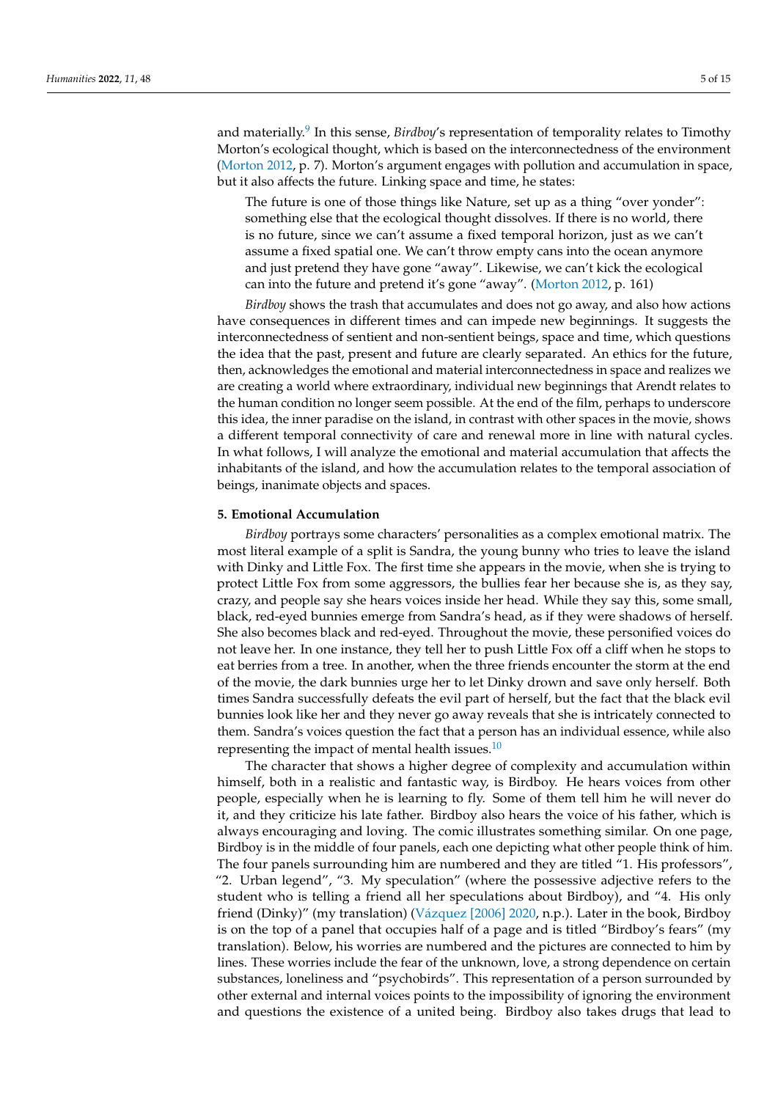<span id="page-4-0"></span>and materially.<sup>[9](#page-13-15)</sup> In this sense, *Birdboy'*s representation of temporality relates to Timothy Morton's ecological thought, which is based on the interconnectedness of the environment [\(Morton](#page-14-18) [2012,](#page-14-18) p. 7). Morton's argument engages with pollution and accumulation in space, but it also affects the future. Linking space and time, he states:

The future is one of those things like Nature, set up as a thing "over yonder": something else that the ecological thought dissolves. If there is no world, there is no future, since we can't assume a fixed temporal horizon, just as we can't assume a fixed spatial one. We can't throw empty cans into the ocean anymore and just pretend they have gone "away". Likewise, we can't kick the ecological can into the future and pretend it's gone "away". [\(Morton](#page-14-18) [2012,](#page-14-18) p. 161)

*Birdboy* shows the trash that accumulates and does not go away, and also how actions have consequences in different times and can impede new beginnings. It suggests the interconnectedness of sentient and non-sentient beings, space and time, which questions the idea that the past, present and future are clearly separated. An ethics for the future, then, acknowledges the emotional and material interconnectedness in space and realizes we are creating a world where extraordinary, individual new beginnings that Arendt relates to the human condition no longer seem possible. At the end of the film, perhaps to underscore this idea, the inner paradise on the island, in contrast with other spaces in the movie, shows a different temporal connectivity of care and renewal more in line with natural cycles. In what follows, I will analyze the emotional and material accumulation that affects the inhabitants of the island, and how the accumulation relates to the temporal association of beings, inanimate objects and spaces.

#### **5. Emotional Accumulation**

*Birdboy* portrays some characters' personalities as a complex emotional matrix. The most literal example of a split is Sandra, the young bunny who tries to leave the island with Dinky and Little Fox. The first time she appears in the movie, when she is trying to protect Little Fox from some aggressors, the bullies fear her because she is, as they say, crazy, and people say she hears voices inside her head. While they say this, some small, black, red-eyed bunnies emerge from Sandra's head, as if they were shadows of herself. She also becomes black and red-eyed. Throughout the movie, these personified voices do not leave her. In one instance, they tell her to push Little Fox off a cliff when he stops to eat berries from a tree. In another, when the three friends encounter the storm at the end of the movie, the dark bunnies urge her to let Dinky drown and save only herself. Both times Sandra successfully defeats the evil part of herself, but the fact that the black evil bunnies look like her and they never go away reveals that she is intricately connected to them. Sandra's voices question the fact that a person has an individual essence, while also representing the impact of mental health issues.<sup>[10](#page-13-16)</sup>

<span id="page-4-1"></span>The character that shows a higher degree of complexity and accumulation within himself, both in a realistic and fantastic way, is Birdboy. He hears voices from other people, especially when he is learning to fly. Some of them tell him he will never do it, and they criticize his late father. Birdboy also hears the voice of his father, which is always encouraging and loving. The comic illustrates something similar. On one page, Birdboy is in the middle of four panels, each one depicting what other people think of him. The four panels surrounding him are numbered and they are titled "1. His professors", "2. Urban legend", "3. My speculation" (where the possessive adjective refers to the student who is telling a friend all her speculations about Birdboy), and "4. His only friend (Dinky)" (my translation) (Vá[zquez \[2006\]](#page-14-0) [2020,](#page-14-0) n.p.). Later in the book, Birdboy is on the top of a panel that occupies half of a page and is titled "Birdboy's fears" (my translation). Below, his worries are numbered and the pictures are connected to him by lines. These worries include the fear of the unknown, love, a strong dependence on certain substances, loneliness and "psychobirds". This representation of a person surrounded by other external and internal voices points to the impossibility of ignoring the environment and questions the existence of a united being. Birdboy also takes drugs that lead to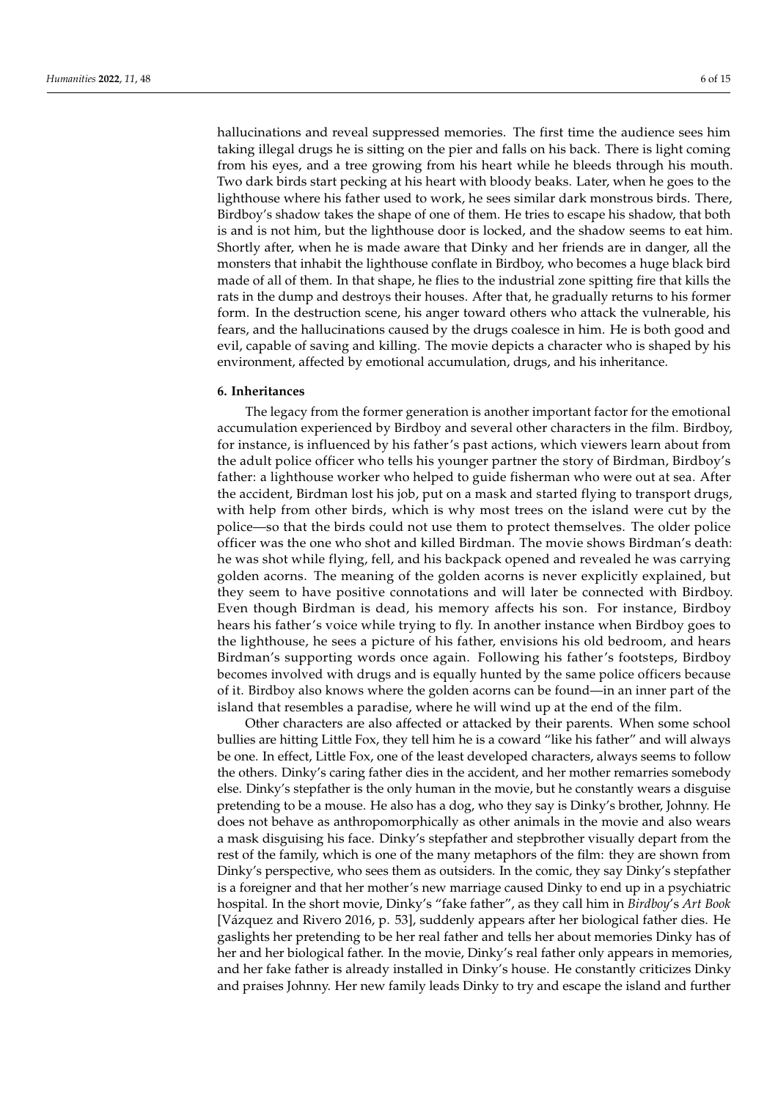hallucinations and reveal suppressed memories. The first time the audience sees him taking illegal drugs he is sitting on the pier and falls on his back. There is light coming from his eyes, and a tree growing from his heart while he bleeds through his mouth. Two dark birds start pecking at his heart with bloody beaks. Later, when he goes to the lighthouse where his father used to work, he sees similar dark monstrous birds. There, Birdboy's shadow takes the shape of one of them. He tries to escape his shadow, that both is and is not him, but the lighthouse door is locked, and the shadow seems to eat him. Shortly after, when he is made aware that Dinky and her friends are in danger, all the monsters that inhabit the lighthouse conflate in Birdboy, who becomes a huge black bird made of all of them. In that shape, he flies to the industrial zone spitting fire that kills the rats in the dump and destroys their houses. After that, he gradually returns to his former form. In the destruction scene, his anger toward others who attack the vulnerable, his fears, and the hallucinations caused by the drugs coalesce in him. He is both good and evil, capable of saving and killing. The movie depicts a character who is shaped by his environment, affected by emotional accumulation, drugs, and his inheritance.

### **6. Inheritances**

The legacy from the former generation is another important factor for the emotional accumulation experienced by Birdboy and several other characters in the film. Birdboy, for instance, is influenced by his father's past actions, which viewers learn about from the adult police officer who tells his younger partner the story of Birdman, Birdboy's father: a lighthouse worker who helped to guide fisherman who were out at sea. After the accident, Birdman lost his job, put on a mask and started flying to transport drugs, with help from other birds, which is why most trees on the island were cut by the police—so that the birds could not use them to protect themselves. The older police officer was the one who shot and killed Birdman. The movie shows Birdman's death: he was shot while flying, fell, and his backpack opened and revealed he was carrying golden acorns. The meaning of the golden acorns is never explicitly explained, but they seem to have positive connotations and will later be connected with Birdboy. Even though Birdman is dead, his memory affects his son. For instance, Birdboy hears his father's voice while trying to fly. In another instance when Birdboy goes to the lighthouse, he sees a picture of his father, envisions his old bedroom, and hears Birdman's supporting words once again. Following his father's footsteps, Birdboy becomes involved with drugs and is equally hunted by the same police officers because of it. Birdboy also knows where the golden acorns can be found—in an inner part of the island that resembles a paradise, where he will wind up at the end of the film.

Other characters are also affected or attacked by their parents. When some school bullies are hitting Little Fox, they tell him he is a coward "like his father" and will always be one. In effect, Little Fox, one of the least developed characters, always seems to follow the others. Dinky's caring father dies in the accident, and her mother remarries somebody else. Dinky's stepfather is the only human in the movie, but he constantly wears a disguise pretending to be a mouse. He also has a dog, who they say is Dinky's brother, Johnny. He does not behave as anthropomorphically as other animals in the movie and also wears a mask disguising his face. Dinky's stepfather and stepbrother visually depart from the rest of the family, which is one of the many metaphors of the film: they are shown from Dinky's perspective, who sees them as outsiders. In the comic, they say Dinky's stepfather is a foreigner and that her mother's new marriage caused Dinky to end up in a psychiatric hospital. In the short movie, Dinky's "fake father", as they call him in *Birdboy*'s *Art Book* [Vázquez and Rivero 2016, p. 53], suddenly appears after her biological father dies. He gaslights her pretending to be her real father and tells her about memories Dinky has of her and her biological father. In the movie, Dinky's real father only appears in memories, and her fake father is already installed in Dinky's house. He constantly criticizes Dinky and praises Johnny. Her new family leads Dinky to try and escape the island and further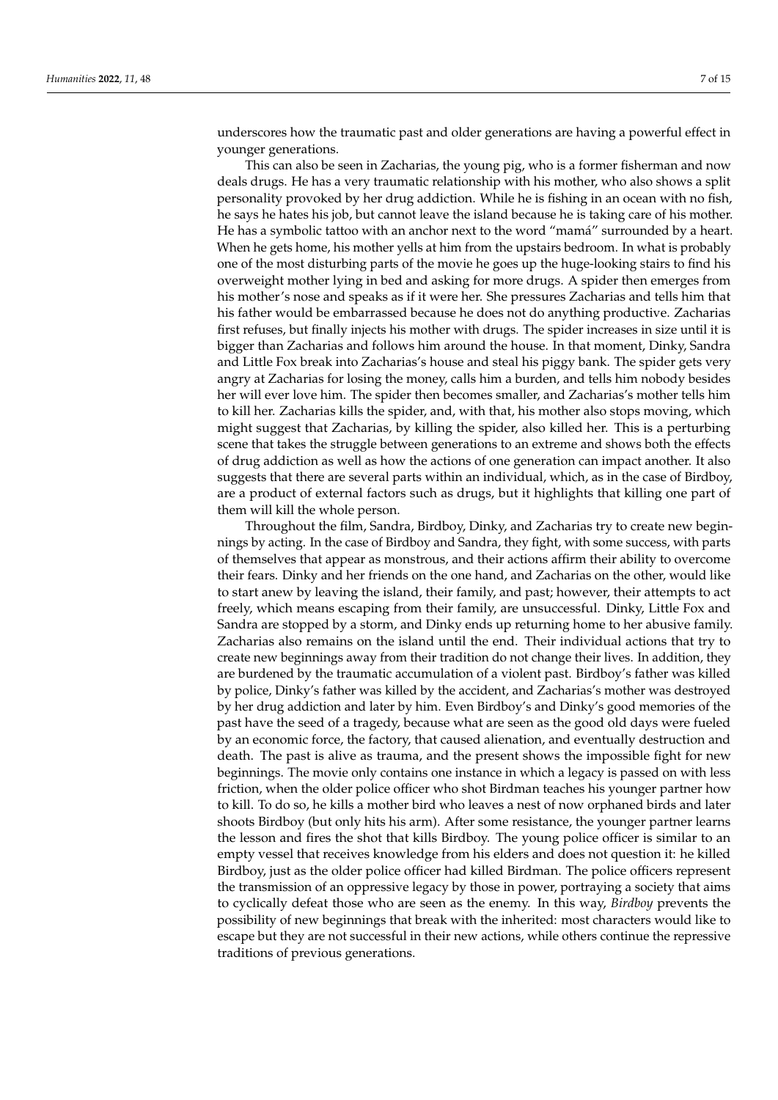underscores how the traumatic past and older generations are having a powerful effect in younger generations.

This can also be seen in Zacharias, the young pig, who is a former fisherman and now deals drugs. He has a very traumatic relationship with his mother, who also shows a split personality provoked by her drug addiction. While he is fishing in an ocean with no fish, he says he hates his job, but cannot leave the island because he is taking care of his mother. He has a symbolic tattoo with an anchor next to the word "mamá" surrounded by a heart. When he gets home, his mother yells at him from the upstairs bedroom. In what is probably one of the most disturbing parts of the movie he goes up the huge-looking stairs to find his overweight mother lying in bed and asking for more drugs. A spider then emerges from his mother's nose and speaks as if it were her. She pressures Zacharias and tells him that his father would be embarrassed because he does not do anything productive. Zacharias first refuses, but finally injects his mother with drugs. The spider increases in size until it is bigger than Zacharias and follows him around the house. In that moment, Dinky, Sandra and Little Fox break into Zacharias's house and steal his piggy bank. The spider gets very angry at Zacharias for losing the money, calls him a burden, and tells him nobody besides her will ever love him. The spider then becomes smaller, and Zacharias's mother tells him to kill her. Zacharias kills the spider, and, with that, his mother also stops moving, which might suggest that Zacharias, by killing the spider, also killed her. This is a perturbing scene that takes the struggle between generations to an extreme and shows both the effects of drug addiction as well as how the actions of one generation can impact another. It also suggests that there are several parts within an individual, which, as in the case of Birdboy, are a product of external factors such as drugs, but it highlights that killing one part of them will kill the whole person.

Throughout the film, Sandra, Birdboy, Dinky, and Zacharias try to create new beginnings by acting. In the case of Birdboy and Sandra, they fight, with some success, with parts of themselves that appear as monstrous, and their actions affirm their ability to overcome their fears. Dinky and her friends on the one hand, and Zacharias on the other, would like to start anew by leaving the island, their family, and past; however, their attempts to act freely, which means escaping from their family, are unsuccessful. Dinky, Little Fox and Sandra are stopped by a storm, and Dinky ends up returning home to her abusive family. Zacharias also remains on the island until the end. Their individual actions that try to create new beginnings away from their tradition do not change their lives. In addition, they are burdened by the traumatic accumulation of a violent past. Birdboy's father was killed by police, Dinky's father was killed by the accident, and Zacharias's mother was destroyed by her drug addiction and later by him. Even Birdboy's and Dinky's good memories of the past have the seed of a tragedy, because what are seen as the good old days were fueled by an economic force, the factory, that caused alienation, and eventually destruction and death. The past is alive as trauma, and the present shows the impossible fight for new beginnings. The movie only contains one instance in which a legacy is passed on with less friction, when the older police officer who shot Birdman teaches his younger partner how to kill. To do so, he kills a mother bird who leaves a nest of now orphaned birds and later shoots Birdboy (but only hits his arm). After some resistance, the younger partner learns the lesson and fires the shot that kills Birdboy. The young police officer is similar to an empty vessel that receives knowledge from his elders and does not question it: he killed Birdboy, just as the older police officer had killed Birdman. The police officers represent the transmission of an oppressive legacy by those in power, portraying a society that aims to cyclically defeat those who are seen as the enemy. In this way, *Birdboy* prevents the possibility of new beginnings that break with the inherited: most characters would like to escape but they are not successful in their new actions, while others continue the repressive traditions of previous generations.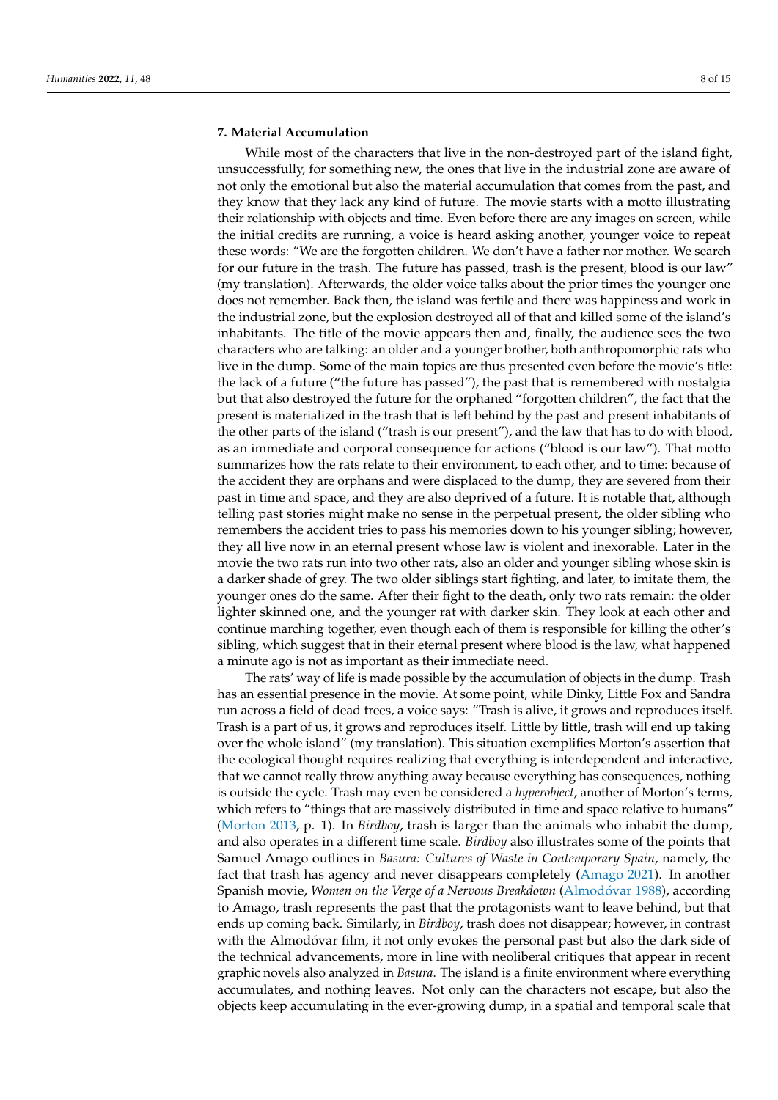## **7. Material Accumulation**

While most of the characters that live in the non-destroyed part of the island fight, unsuccessfully, for something new, the ones that live in the industrial zone are aware of not only the emotional but also the material accumulation that comes from the past, and they know that they lack any kind of future. The movie starts with a motto illustrating their relationship with objects and time. Even before there are any images on screen, while the initial credits are running, a voice is heard asking another, younger voice to repeat these words: "We are the forgotten children. We don't have a father nor mother. We search for our future in the trash. The future has passed, trash is the present, blood is our law" (my translation). Afterwards, the older voice talks about the prior times the younger one does not remember. Back then, the island was fertile and there was happiness and work in the industrial zone, but the explosion destroyed all of that and killed some of the island's inhabitants. The title of the movie appears then and, finally, the audience sees the two characters who are talking: an older and a younger brother, both anthropomorphic rats who live in the dump. Some of the main topics are thus presented even before the movie's title: the lack of a future ("the future has passed"), the past that is remembered with nostalgia but that also destroyed the future for the orphaned "forgotten children", the fact that the present is materialized in the trash that is left behind by the past and present inhabitants of the other parts of the island ("trash is our present"), and the law that has to do with blood, as an immediate and corporal consequence for actions ("blood is our law"). That motto summarizes how the rats relate to their environment, to each other, and to time: because of the accident they are orphans and were displaced to the dump, they are severed from their past in time and space, and they are also deprived of a future. It is notable that, although telling past stories might make no sense in the perpetual present, the older sibling who remembers the accident tries to pass his memories down to his younger sibling; however, they all live now in an eternal present whose law is violent and inexorable. Later in the movie the two rats run into two other rats, also an older and younger sibling whose skin is a darker shade of grey. The two older siblings start fighting, and later, to imitate them, the younger ones do the same. After their fight to the death, only two rats remain: the older lighter skinned one, and the younger rat with darker skin. They look at each other and continue marching together, even though each of them is responsible for killing the other's sibling, which suggest that in their eternal present where blood is the law, what happened a minute ago is not as important as their immediate need.

The rats' way of life is made possible by the accumulation of objects in the dump. Trash has an essential presence in the movie. At some point, while Dinky, Little Fox and Sandra run across a field of dead trees, a voice says: "Trash is alive, it grows and reproduces itself. Trash is a part of us, it grows and reproduces itself. Little by little, trash will end up taking over the whole island" (my translation). This situation exemplifies Morton's assertion that the ecological thought requires realizing that everything is interdependent and interactive, that we cannot really throw anything away because everything has consequences, nothing is outside the cycle. Trash may even be considered a *hyperobject*, another of Morton's terms, which refers to "things that are massively distributed in time and space relative to humans" [\(Morton](#page-14-19) [2013,](#page-14-19) p. 1). In *Birdboy*, trash is larger than the animals who inhabit the dump, and also operates in a different time scale. *Birdboy* also illustrates some of the points that Samuel Amago outlines in *Basura: Cultures of Waste in Contemporary Spain*, namely, the fact that trash has agency and never disappears completely [\(Amago](#page-13-17) [2021\)](#page-13-17). In another Spanish movie, *Women on the Verge of a Nervous Breakdown* [\(Almod](#page-13-18)óvar [1988\)](#page-13-18), according to Amago, trash represents the past that the protagonists want to leave behind, but that ends up coming back. Similarly, in *Birdboy*, trash does not disappear; however, in contrast with the Almodóvar film, it not only evokes the personal past but also the dark side of the technical advancements, more in line with neoliberal critiques that appear in recent graphic novels also analyzed in *Basura*. The island is a finite environment where everything accumulates, and nothing leaves. Not only can the characters not escape, but also the objects keep accumulating in the ever-growing dump, in a spatial and temporal scale that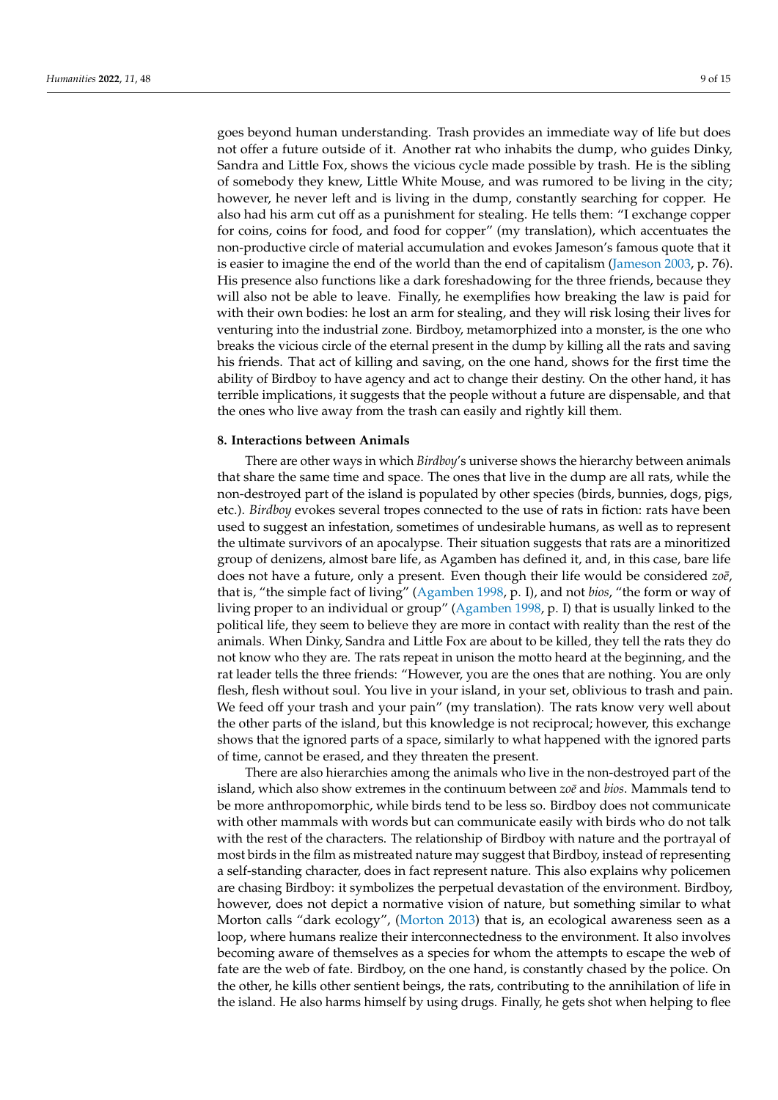goes beyond human understanding. Trash provides an immediate way of life but does not offer a future outside of it. Another rat who inhabits the dump, who guides Dinky, Sandra and Little Fox, shows the vicious cycle made possible by trash. He is the sibling of somebody they knew, Little White Mouse, and was rumored to be living in the city; however, he never left and is living in the dump, constantly searching for copper. He also had his arm cut off as a punishment for stealing. He tells them: "I exchange copper for coins, coins for food, and food for copper" (my translation), which accentuates the non-productive circle of material accumulation and evokes Jameson's famous quote that it is easier to imagine the end of the world than the end of capitalism [\(Jameson](#page-13-19) [2003,](#page-13-19) p. 76). His presence also functions like a dark foreshadowing for the three friends, because they will also not be able to leave. Finally, he exemplifies how breaking the law is paid for with their own bodies: he lost an arm for stealing, and they will risk losing their lives for venturing into the industrial zone. Birdboy, metamorphized into a monster, is the one who breaks the vicious circle of the eternal present in the dump by killing all the rats and saving his friends. That act of killing and saving, on the one hand, shows for the first time the ability of Birdboy to have agency and act to change their destiny. On the other hand, it has terrible implications, it suggests that the people without a future are dispensable, and that the ones who live away from the trash can easily and rightly kill them.

#### **8. Interactions between Animals**

There are other ways in which *Birdboy*'s universe shows the hierarchy between animals that share the same time and space. The ones that live in the dump are all rats, while the non-destroyed part of the island is populated by other species (birds, bunnies, dogs, pigs, etc.). *Birdboy* evokes several tropes connected to the use of rats in fiction: rats have been used to suggest an infestation, sometimes of undesirable humans, as well as to represent the ultimate survivors of an apocalypse. Their situation suggests that rats are a minoritized group of denizens, almost bare life, as Agamben has defined it, and, in this case, bare life does not have a future, only a present. Even though their life would be considered  $zo\bar{e}$ , that is, "the simple fact of living" [\(Agamben](#page-13-20) [1998,](#page-13-20) p. I), and not *bios*, "the form or way of living proper to an individual or group" [\(Agamben](#page-13-20) [1998,](#page-13-20) p. I) that is usually linked to the political life, they seem to believe they are more in contact with reality than the rest of the animals. When Dinky, Sandra and Little Fox are about to be killed, they tell the rats they do not know who they are. The rats repeat in unison the motto heard at the beginning, and the rat leader tells the three friends: "However, you are the ones that are nothing. You are only flesh, flesh without soul. You live in your island, in your set, oblivious to trash and pain. We feed off your trash and your pain" (my translation). The rats know very well about the other parts of the island, but this knowledge is not reciprocal; however, this exchange shows that the ignored parts of a space, similarly to what happened with the ignored parts of time, cannot be erased, and they threaten the present.

There are also hierarchies among the animals who live in the non-destroyed part of the island, which also show extremes in the continuum between *zoe¯* and *bios*. Mammals tend to be more anthropomorphic, while birds tend to be less so. Birdboy does not communicate with other mammals with words but can communicate easily with birds who do not talk with the rest of the characters. The relationship of Birdboy with nature and the portrayal of most birds in the film as mistreated nature may suggest that Birdboy, instead of representing a self-standing character, does in fact represent nature. This also explains why policemen are chasing Birdboy: it symbolizes the perpetual devastation of the environment. Birdboy, however, does not depict a normative vision of nature, but something similar to what Morton calls "dark ecology", [\(Morton](#page-14-19) [2013\)](#page-14-19) that is, an ecological awareness seen as a loop, where humans realize their interconnectedness to the environment. It also involves becoming aware of themselves as a species for whom the attempts to escape the web of fate are the web of fate. Birdboy, on the one hand, is constantly chased by the police. On the other, he kills other sentient beings, the rats, contributing to the annihilation of life in the island. He also harms himself by using drugs. Finally, he gets shot when helping to flee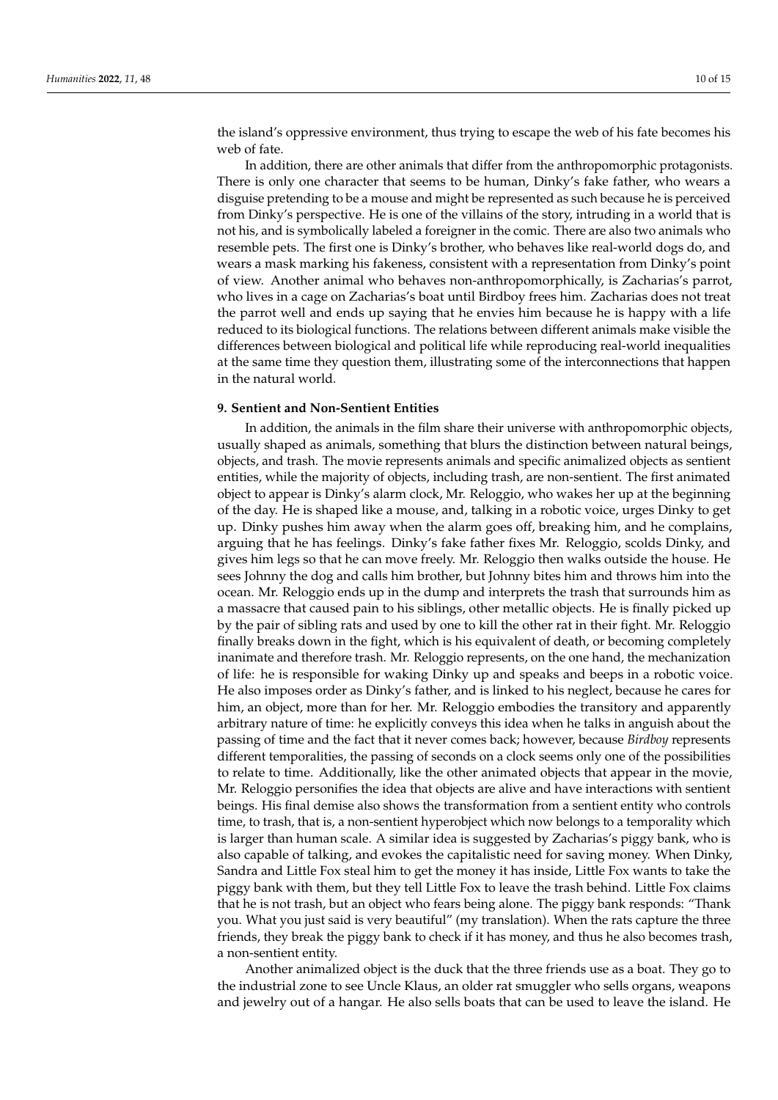the island's oppressive environment, thus trying to escape the web of his fate becomes his web of fate.

In addition, there are other animals that differ from the anthropomorphic protagonists. There is only one character that seems to be human, Dinky's fake father, who wears a disguise pretending to be a mouse and might be represented as such because he is perceived from Dinky's perspective. He is one of the villains of the story, intruding in a world that is not his, and is symbolically labeled a foreigner in the comic. There are also two animals who resemble pets. The first one is Dinky's brother, who behaves like real-world dogs do, and wears a mask marking his fakeness, consistent with a representation from Dinky's point of view. Another animal who behaves non-anthropomorphically, is Zacharias's parrot, who lives in a cage on Zacharias's boat until Birdboy frees him. Zacharias does not treat the parrot well and ends up saying that he envies him because he is happy with a life reduced to its biological functions. The relations between different animals make visible the differences between biological and political life while reproducing real-world inequalities at the same time they question them, illustrating some of the interconnections that happen in the natural world.

## **9. Sentient and Non-Sentient Entities**

In addition, the animals in the film share their universe with anthropomorphic objects, usually shaped as animals, something that blurs the distinction between natural beings, objects, and trash. The movie represents animals and specific animalized objects as sentient entities, while the majority of objects, including trash, are non-sentient. The first animated object to appear is Dinky's alarm clock, Mr. Reloggio, who wakes her up at the beginning of the day. He is shaped like a mouse, and, talking in a robotic voice, urges Dinky to get up. Dinky pushes him away when the alarm goes off, breaking him, and he complains, arguing that he has feelings. Dinky's fake father fixes Mr. Reloggio, scolds Dinky, and gives him legs so that he can move freely. Mr. Reloggio then walks outside the house. He sees Johnny the dog and calls him brother, but Johnny bites him and throws him into the ocean. Mr. Reloggio ends up in the dump and interprets the trash that surrounds him as a massacre that caused pain to his siblings, other metallic objects. He is finally picked up by the pair of sibling rats and used by one to kill the other rat in their fight. Mr. Reloggio finally breaks down in the fight, which is his equivalent of death, or becoming completely inanimate and therefore trash. Mr. Reloggio represents, on the one hand, the mechanization of life: he is responsible for waking Dinky up and speaks and beeps in a robotic voice. He also imposes order as Dinky's father, and is linked to his neglect, because he cares for him, an object, more than for her. Mr. Reloggio embodies the transitory and apparently arbitrary nature of time: he explicitly conveys this idea when he talks in anguish about the passing of time and the fact that it never comes back; however, because *Birdboy* represents different temporalities, the passing of seconds on a clock seems only one of the possibilities to relate to time. Additionally, like the other animated objects that appear in the movie, Mr. Reloggio personifies the idea that objects are alive and have interactions with sentient beings. His final demise also shows the transformation from a sentient entity who controls time, to trash, that is, a non-sentient hyperobject which now belongs to a temporality which is larger than human scale. A similar idea is suggested by Zacharias's piggy bank, who is also capable of talking, and evokes the capitalistic need for saving money. When Dinky, Sandra and Little Fox steal him to get the money it has inside, Little Fox wants to take the piggy bank with them, but they tell Little Fox to leave the trash behind. Little Fox claims that he is not trash, but an object who fears being alone. The piggy bank responds: "Thank you. What you just said is very beautiful" (my translation). When the rats capture the three friends, they break the piggy bank to check if it has money, and thus he also becomes trash, a non-sentient entity.

Another animalized object is the duck that the three friends use as a boat. They go to the industrial zone to see Uncle Klaus, an older rat smuggler who sells organs, weapons and jewelry out of a hangar. He also sells boats that can be used to leave the island. He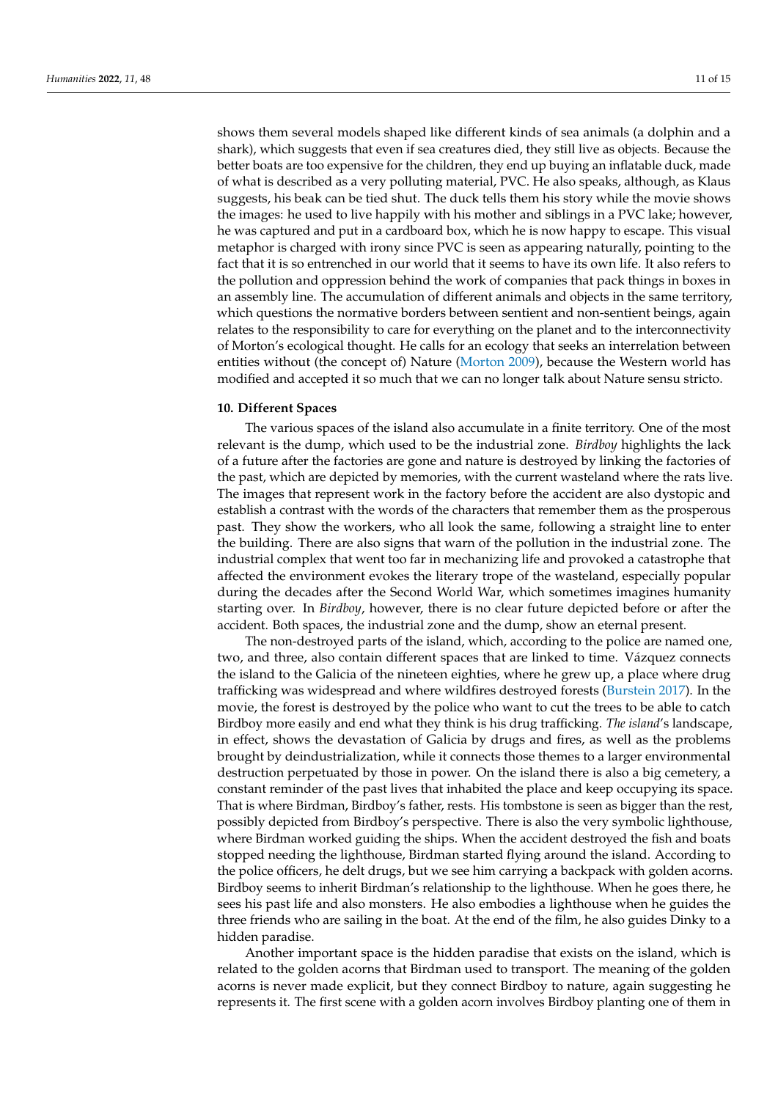shows them several models shaped like different kinds of sea animals (a dolphin and a shark), which suggests that even if sea creatures died, they still live as objects. Because the better boats are too expensive for the children, they end up buying an inflatable duck, made of what is described as a very polluting material, PVC. He also speaks, although, as Klaus suggests, his beak can be tied shut. The duck tells them his story while the movie shows the images: he used to live happily with his mother and siblings in a PVC lake; however, he was captured and put in a cardboard box, which he is now happy to escape. This visual metaphor is charged with irony since PVC is seen as appearing naturally, pointing to the fact that it is so entrenched in our world that it seems to have its own life. It also refers to the pollution and oppression behind the work of companies that pack things in boxes in an assembly line. The accumulation of different animals and objects in the same territory, which questions the normative borders between sentient and non-sentient beings, again relates to the responsibility to care for everything on the planet and to the interconnectivity of Morton's ecological thought. He calls for an ecology that seeks an interrelation between entities without (the concept of) Nature [\(Morton](#page-14-20) [2009\)](#page-14-20), because the Western world has modified and accepted it so much that we can no longer talk about Nature sensu stricto.

#### **10. Different Spaces**

The various spaces of the island also accumulate in a finite territory. One of the most relevant is the dump, which used to be the industrial zone. *Birdboy* highlights the lack of a future after the factories are gone and nature is destroyed by linking the factories of the past, which are depicted by memories, with the current wasteland where the rats live. The images that represent work in the factory before the accident are also dystopic and establish a contrast with the words of the characters that remember them as the prosperous past. They show the workers, who all look the same, following a straight line to enter the building. There are also signs that warn of the pollution in the industrial zone. The industrial complex that went too far in mechanizing life and provoked a catastrophe that affected the environment evokes the literary trope of the wasteland, especially popular during the decades after the Second World War, which sometimes imagines humanity starting over. In *Birdboy*, however, there is no clear future depicted before or after the accident. Both spaces, the industrial zone and the dump, show an eternal present.

The non-destroyed parts of the island, which, according to the police are named one, two, and three, also contain different spaces that are linked to time. Vázquez connects the island to the Galicia of the nineteen eighties, where he grew up, a place where drug trafficking was widespread and where wildfires destroyed forests [\(Burstein](#page-13-21) [2017\)](#page-13-21). In the movie, the forest is destroyed by the police who want to cut the trees to be able to catch Birdboy more easily and end what they think is his drug trafficking. *The island*'s landscape, in effect, shows the devastation of Galicia by drugs and fires, as well as the problems brought by deindustrialization, while it connects those themes to a larger environmental destruction perpetuated by those in power. On the island there is also a big cemetery, a constant reminder of the past lives that inhabited the place and keep occupying its space. That is where Birdman, Birdboy's father, rests. His tombstone is seen as bigger than the rest, possibly depicted from Birdboy's perspective. There is also the very symbolic lighthouse, where Birdman worked guiding the ships. When the accident destroyed the fish and boats stopped needing the lighthouse, Birdman started flying around the island. According to the police officers, he delt drugs, but we see him carrying a backpack with golden acorns. Birdboy seems to inherit Birdman's relationship to the lighthouse. When he goes there, he sees his past life and also monsters. He also embodies a lighthouse when he guides the three friends who are sailing in the boat. At the end of the film, he also guides Dinky to a hidden paradise.

Another important space is the hidden paradise that exists on the island, which is related to the golden acorns that Birdman used to transport. The meaning of the golden acorns is never made explicit, but they connect Birdboy to nature, again suggesting he represents it. The first scene with a golden acorn involves Birdboy planting one of them in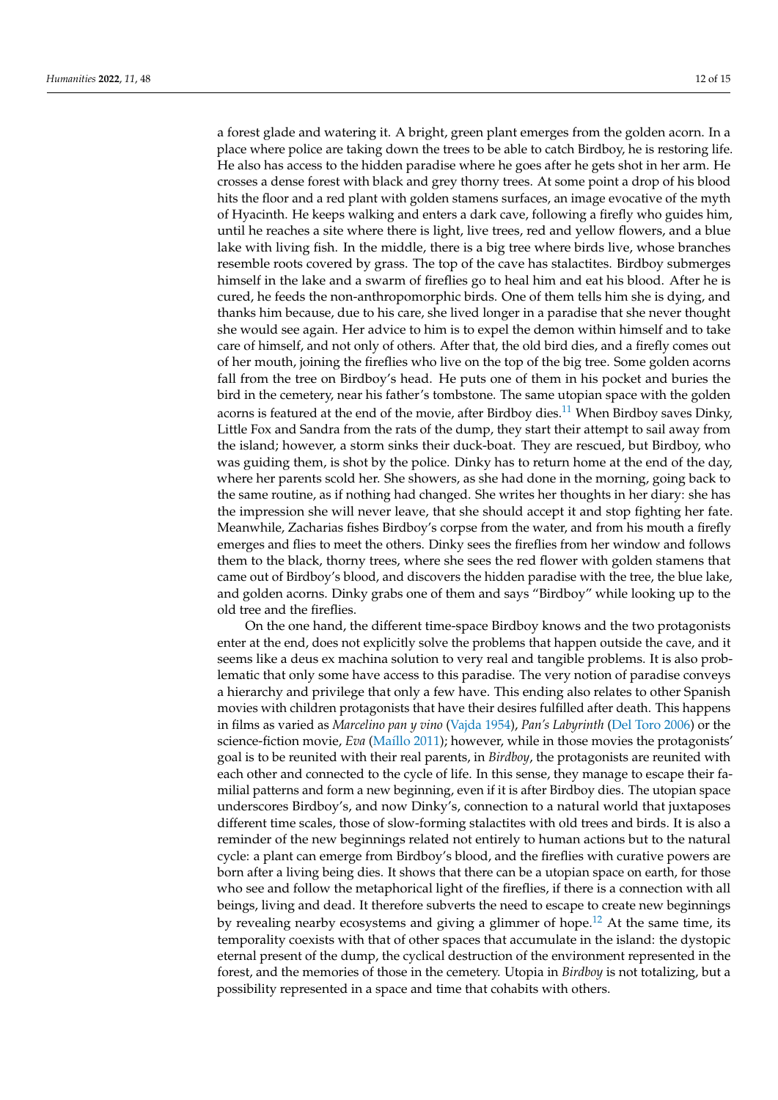a forest glade and watering it. A bright, green plant emerges from the golden acorn. In a place where police are taking down the trees to be able to catch Birdboy, he is restoring life. He also has access to the hidden paradise where he goes after he gets shot in her arm. He crosses a dense forest with black and grey thorny trees. At some point a drop of his blood hits the floor and a red plant with golden stamens surfaces, an image evocative of the myth of Hyacinth. He keeps walking and enters a dark cave, following a firefly who guides him, until he reaches a site where there is light, live trees, red and yellow flowers, and a blue lake with living fish. In the middle, there is a big tree where birds live, whose branches resemble roots covered by grass. The top of the cave has stalactites. Birdboy submerges himself in the lake and a swarm of fireflies go to heal him and eat his blood. After he is cured, he feeds the non-anthropomorphic birds. One of them tells him she is dying, and thanks him because, due to his care, she lived longer in a paradise that she never thought she would see again. Her advice to him is to expel the demon within himself and to take care of himself, and not only of others. After that, the old bird dies, and a firefly comes out of her mouth, joining the fireflies who live on the top of the big tree. Some golden acorns fall from the tree on Birdboy's head. He puts one of them in his pocket and buries the bird in the cemetery, near his father's tombstone. The same utopian space with the golden acorns is featured at the end of the movie, after Birdboy dies.<sup>[11](#page-13-22)</sup> When Birdboy saves Dinky, Little Fox and Sandra from the rats of the dump, they start their attempt to sail away from the island; however, a storm sinks their duck-boat. They are rescued, but Birdboy, who was guiding them, is shot by the police. Dinky has to return home at the end of the day, where her parents scold her. She showers, as she had done in the morning, going back to the same routine, as if nothing had changed. She writes her thoughts in her diary: she has the impression she will never leave, that she should accept it and stop fighting her fate. Meanwhile, Zacharias fishes Birdboy's corpse from the water, and from his mouth a firefly emerges and flies to meet the others. Dinky sees the fireflies from her window and follows them to the black, thorny trees, where she sees the red flower with golden stamens that came out of Birdboy's blood, and discovers the hidden paradise with the tree, the blue lake, and golden acorns. Dinky grabs one of them and says "Birdboy" while looking up to the old tree and the fireflies.

<span id="page-11-1"></span><span id="page-11-0"></span>On the one hand, the different time-space Birdboy knows and the two protagonists enter at the end, does not explicitly solve the problems that happen outside the cave, and it seems like a deus ex machina solution to very real and tangible problems. It is also problematic that only some have access to this paradise. The very notion of paradise conveys a hierarchy and privilege that only a few have. This ending also relates to other Spanish movies with children protagonists that have their desires fulfilled after death. This happens in films as varied as *Marcelino pan y vino* [\(Vajda](#page-14-21) [1954\)](#page-14-21), *Pan's Labyrinth* [\(Del Toro](#page-13-23) [2006\)](#page-13-23) or the science-fiction movie, *Eva* [\(Ma](#page-14-22)íllo [2011\)](#page-14-22); however, while in those movies the protagonists' goal is to be reunited with their real parents, in *Birdboy*, the protagonists are reunited with each other and connected to the cycle of life. In this sense, they manage to escape their familial patterns and form a new beginning, even if it is after Birdboy dies. The utopian space underscores Birdboy's, and now Dinky's, connection to a natural world that juxtaposes different time scales, those of slow-forming stalactites with old trees and birds. It is also a reminder of the new beginnings related not entirely to human actions but to the natural cycle: a plant can emerge from Birdboy's blood, and the fireflies with curative powers are born after a living being dies. It shows that there can be a utopian space on earth, for those who see and follow the metaphorical light of the fireflies, if there is a connection with all beings, living and dead. It therefore subverts the need to escape to create new beginnings by revealing nearby ecosystems and giving a glimmer of hope.<sup>[12](#page-13-24)</sup> At the same time, its temporality coexists with that of other spaces that accumulate in the island: the dystopic eternal present of the dump, the cyclical destruction of the environment represented in the forest, and the memories of those in the cemetery. Utopia in *Birdboy* is not totalizing, but a possibility represented in a space and time that cohabits with others.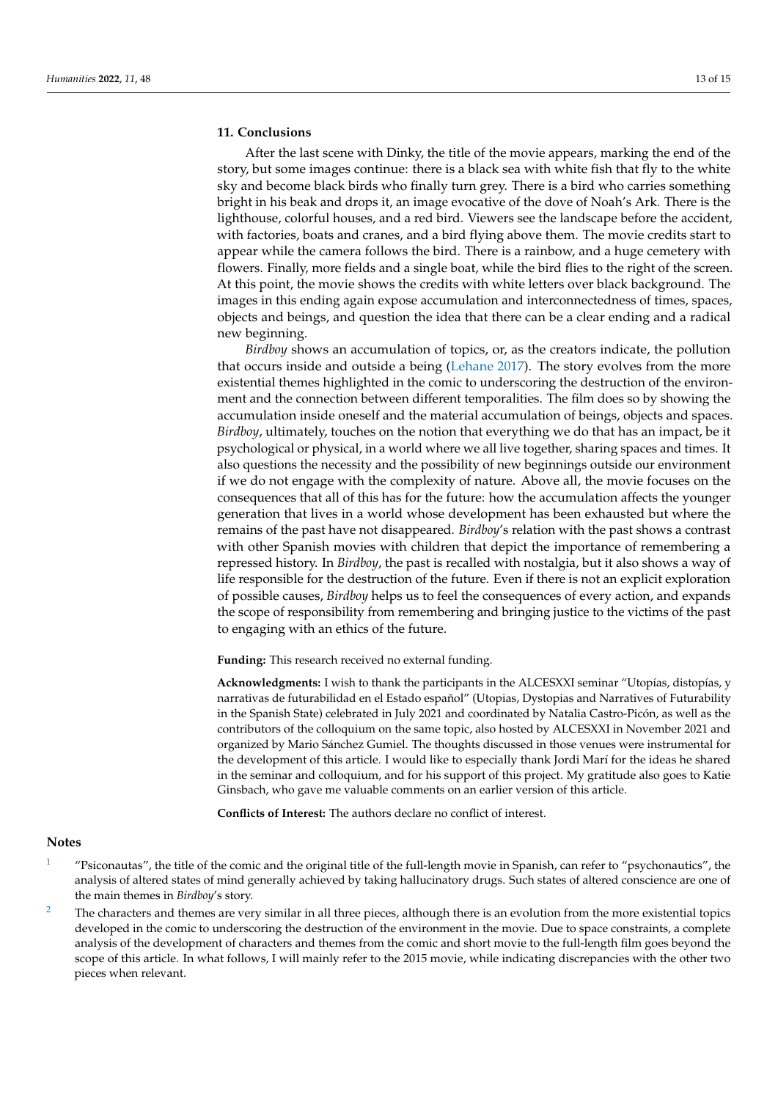## **11. Conclusions**

After the last scene with Dinky, the title of the movie appears, marking the end of the story, but some images continue: there is a black sea with white fish that fly to the white sky and become black birds who finally turn grey. There is a bird who carries something bright in his beak and drops it, an image evocative of the dove of Noah's Ark. There is the lighthouse, colorful houses, and a red bird. Viewers see the landscape before the accident, with factories, boats and cranes, and a bird flying above them. The movie credits start to appear while the camera follows the bird. There is a rainbow, and a huge cemetery with flowers. Finally, more fields and a single boat, while the bird flies to the right of the screen. At this point, the movie shows the credits with white letters over black background. The images in this ending again expose accumulation and interconnectedness of times, spaces, objects and beings, and question the idea that there can be a clear ending and a radical new beginning.

*Birdboy* shows an accumulation of topics, or, as the creators indicate, the pollution that occurs inside and outside a being [\(Lehane](#page-14-5) [2017\)](#page-14-5). The story evolves from the more existential themes highlighted in the comic to underscoring the destruction of the environment and the connection between different temporalities. The film does so by showing the accumulation inside oneself and the material accumulation of beings, objects and spaces. *Birdboy*, ultimately, touches on the notion that everything we do that has an impact, be it psychological or physical, in a world where we all live together, sharing spaces and times. It also questions the necessity and the possibility of new beginnings outside our environment if we do not engage with the complexity of nature. Above all, the movie focuses on the consequences that all of this has for the future: how the accumulation affects the younger generation that lives in a world whose development has been exhausted but where the remains of the past have not disappeared. *Birdboy*'s relation with the past shows a contrast with other Spanish movies with children that depict the importance of remembering a repressed history. In *Birdboy*, the past is recalled with nostalgia, but it also shows a way of life responsible for the destruction of the future. Even if there is not an explicit exploration of possible causes, *Birdboy* helps us to feel the consequences of every action, and expands the scope of responsibility from remembering and bringing justice to the victims of the past to engaging with an ethics of the future.

**Funding:** This research received no external funding.

**Acknowledgments:** I wish to thank the participants in the ALCESXXI seminar "Utopías, distopías, y narrativas de futurabilidad en el Estado español" (Utopias, Dystopias and Narratives of Futurability in the Spanish State) celebrated in July 2021 and coordinated by Natalia Castro-Picón, as well as the contributors of the colloquium on the same topic, also hosted by ALCESXXI in November 2021 and organized by Mario Sánchez Gumiel. The thoughts discussed in those venues were instrumental for the development of this article. I would like to especially thank Jordi Marí for the ideas he shared in the seminar and colloquium, and for his support of this project. My gratitude also goes to Katie Ginsbach, who gave me valuable comments on an earlier version of this article.

**Conflicts of Interest:** The authors declare no conflict of interest.

#### **Notes**

- <span id="page-12-0"></span>[1](#page-0-0) "Psiconautas", the title of the comic and the original title of the full-length movie in Spanish, can refer to "psychonautics", the analysis of altered states of mind generally achieved by taking hallucinatory drugs. Such states of altered conscience are one of the main themes in *Birdboy*'s story.
- <span id="page-12-1"></span><sup>[2](#page-0-1)</sup> The characters and themes are very similar in all three pieces, although there is an evolution from the more existential topics developed in the comic to underscoring the destruction of the environment in the movie. Due to space constraints, a complete analysis of the development of characters and themes from the comic and short movie to the full-length film goes beyond the scope of this article. In what follows, I will mainly refer to the 2015 movie, while indicating discrepancies with the other two pieces when relevant.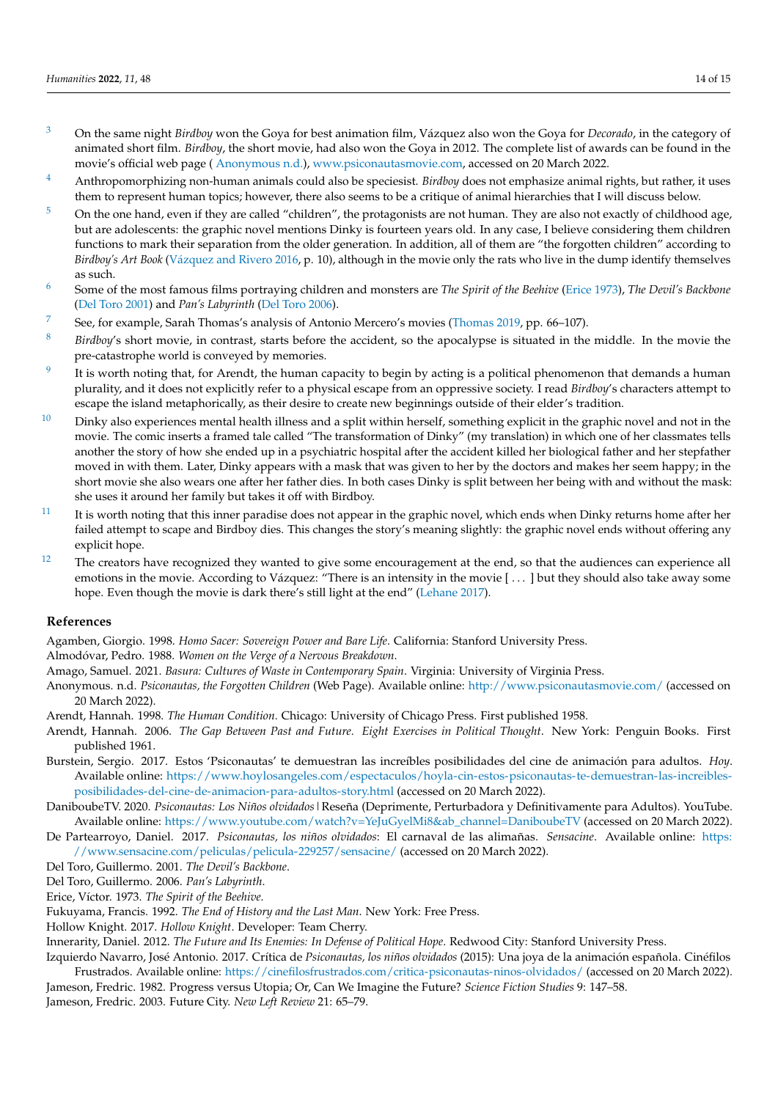- <span id="page-13-0"></span>[3](#page-0-2) On the same night *Birdboy* won the Goya for best animation film, Vázquez also won the Goya for *Decorado*, in the category of animated short film. *Birdboy*, the short movie, had also won the Goya in 2012. The complete list of awards can be found in the movie's official web page [\(](#page-13-25) [Anonymous n.d.\)](#page-13-25), [www.psiconautasmovie.com,](www.psiconautasmovie.com) accessed on 20 March 2022.
- <span id="page-13-5"></span>[4](#page-2-0) Anthropomorphizing non-human animals could also be speciesist. *Birdboy* does not emphasize animal rights, but rather, it uses them to represent human topics; however, there also seems to be a critique of animal hierarchies that I will discuss below.
- <span id="page-13-6"></span><sup>[5](#page-2-1)</sup> On the one hand, even if they are called "children", the protagonists are not human. They are also not exactly of childhood age, but are adolescents: the graphic novel mentions Dinky is fourteen years old. In any case, I believe considering them children functions to mark their separation from the older generation. In addition, all of them are "the forgotten children" according to *Birdboy's Art Book* (Vá[zquez and Rivero](#page-14-23) [2016,](#page-14-23) p. 10), although in the movie only the rats who live in the dump identify themselves as such.
- <span id="page-13-7"></span>[6](#page-2-2) Some of the most famous films portraying children and monsters are *The Spirit of the Beehive* [\(Erice](#page-13-26) [1973\)](#page-13-26), *The Devil's Backbone* [\(Del Toro](#page-13-27) [2001\)](#page-13-27) and *Pan's Labyrinth* [\(Del Toro](#page-13-23) [2006\)](#page-13-23).
- <span id="page-13-8"></span>See, for example, Sarah Thomas's analysis of Antonio Mercero's movies (Thomas 2019, pp. 66–10[7](#page-2-3)).
- <span id="page-13-12"></span>[8](#page-3-0) *Birdboy*'s short movie, in contrast, starts before the accident, so the apocalypse is situated in the middle. In the movie the pre-catastrophe world is conveyed by memories.
- <span id="page-13-15"></span> $\alpha$ It is worth noting that, for Arendt, the human capacity to begin by acting is a political phenomenon that demands a human plurality, and it does not explicitly refer to a physical escape from an oppressive society. I read *Birdboy*'s characters attempt to escape the island metaphorically, as their desire to create new beginnings outside of their elder's tradition.
- <span id="page-13-16"></span> $10$  Dinky also experiences mental health illness and a split within herself, something explicit in the graphic novel and not in the movie. The comic inserts a framed tale called "The transformation of Dinky" (my translation) in which one of her classmates tells another the story of how she ended up in a psychiatric hospital after the accident killed her biological father and her stepfather moved in with them. Later, Dinky appears with a mask that was given to her by the doctors and makes her seem happy; in the short movie she also wears one after her father dies. In both cases Dinky is split between her being with and without the mask: she uses it around her family but takes it off with Birdboy.
- <span id="page-13-22"></span> $11$  It is worth noting that this inner paradise does not appear in the graphic novel, which ends when Dinky returns home after her failed attempt to scape and Birdboy dies. This changes the story's meaning slightly: the graphic novel ends without offering any explicit hope.
- <span id="page-13-24"></span> $12$  The creators have recognized they wanted to give some encouragement at the end, so that the audiences can experience all emotions in the movie. According to Vázquez: "There is an intensity in the movie [ . . . ] but they should also take away some hope. Even though the movie is dark there's still light at the end" [\(Lehane](#page-14-5) [2017\)](#page-14-5).

## **References**

<span id="page-13-20"></span>Agamben, Giorgio. 1998. *Homo Sacer: Sovereign Power and Bare Life*. California: Stanford University Press.

<span id="page-13-18"></span>Almodóvar, Pedro. 1988. *Women on the Verge of a Nervous Breakdown*.

<span id="page-13-17"></span>Amago, Samuel. 2021. *Basura: Cultures of Waste in Contemporary Spain*. Virginia: University of Virginia Press.

- <span id="page-13-25"></span>Anonymous. n.d. *Psiconautas, the Forgotten Children* (Web Page). Available online: <http://www.psiconautasmovie.com/> (accessed on 20 March 2022).
- <span id="page-13-13"></span>Arendt, Hannah. 1998. *The Human Condition*. Chicago: University of Chicago Press. First published 1958.
- <span id="page-13-14"></span>Arendt, Hannah. 2006. *The Gap Between Past and Future. Eight Exercises in Political Thought*. New York: Penguin Books. First published 1961.
- <span id="page-13-21"></span>Burstein, Sergio. 2017. Estos 'Psiconautas' te demuestran las increíbles posibilidades del cine de animación para adultos. *Hoy*. Available online: [https://www.hoylosangeles.com/espectaculos/hoyla-cin-estos-psiconautas-te-demuestran-las-increibles](https://www.hoylosangeles.com/espectaculos/hoyla-cin-estos-psiconautas-te-demuestran-las-increibles-posibilidades-del-cine-de-animacion-para-adultos-story.html)[posibilidades-del-cine-de-animacion-para-adultos-story.html](https://www.hoylosangeles.com/espectaculos/hoyla-cin-estos-psiconautas-te-demuestran-las-increibles-posibilidades-del-cine-de-animacion-para-adultos-story.html) (accessed on 20 March 2022).
- <span id="page-13-1"></span>DaniboubeTV. 2020. *Psiconautas: Los Niños olvidados*|Reseña (Deprimente, Perturbadora y Definitivamente para Adultos). YouTube. Available online: [https://www.youtube.com/watch?v=YeJuGyelMi8&ab\\_channel=DaniboubeTV](https://www.youtube.com/watch?v=YeJuGyelMi8&ab_channel=DaniboubeTV) (accessed on 20 March 2022).
- <span id="page-13-3"></span>De Partearroyo, Daniel. 2017. *Psiconautas, los niños olvidados*: El carnaval de las alimañas. *Sensacine*. Available online: [https:](https://www.sensacine.com/peliculas/pelicula-229257/sensacine/) [//www.sensacine.com/peliculas/pelicula-229257/sensacine/](https://www.sensacine.com/peliculas/pelicula-229257/sensacine/) (accessed on 20 March 2022).
- <span id="page-13-27"></span>Del Toro, Guillermo. 2001. *The Devil's Backbone*.
- <span id="page-13-23"></span>Del Toro, Guillermo. 2006. *Pan's Labyrinth*.
- <span id="page-13-26"></span>Erice, Víctor. 1973. *The Spirit of the Beehive*.
- <span id="page-13-10"></span>Fukuyama, Francis. 1992. *The End of History and the Last Man*. New York: Free Press.
- <span id="page-13-4"></span>Hollow Knight. 2017. *Hollow Knight*. Developer: Team Cherry.

<span id="page-13-11"></span>Innerarity, Daniel. 2012. *The Future and Its Enemies: In Defense of Political Hope*. Redwood City: Stanford University Press.

<span id="page-13-2"></span>Izquierdo Navarro, José Antonio. 2017. Crítica de *Psiconautas, los niños olvidados* (2015): Una joya de la animación española. Cinéfilos Frustrados. Available online: <https://cinefilosfrustrados.com/critica-psiconautas-ninos-olvidados/> (accessed on 20 March 2022).

<span id="page-13-19"></span><span id="page-13-9"></span>Jameson, Fredric. 1982. Progress versus Utopia; Or, Can We Imagine the Future? *Science Fiction Studies* 9: 147–58. Jameson, Fredric. 2003. Future City. *New Left Review* 21: 65–79.